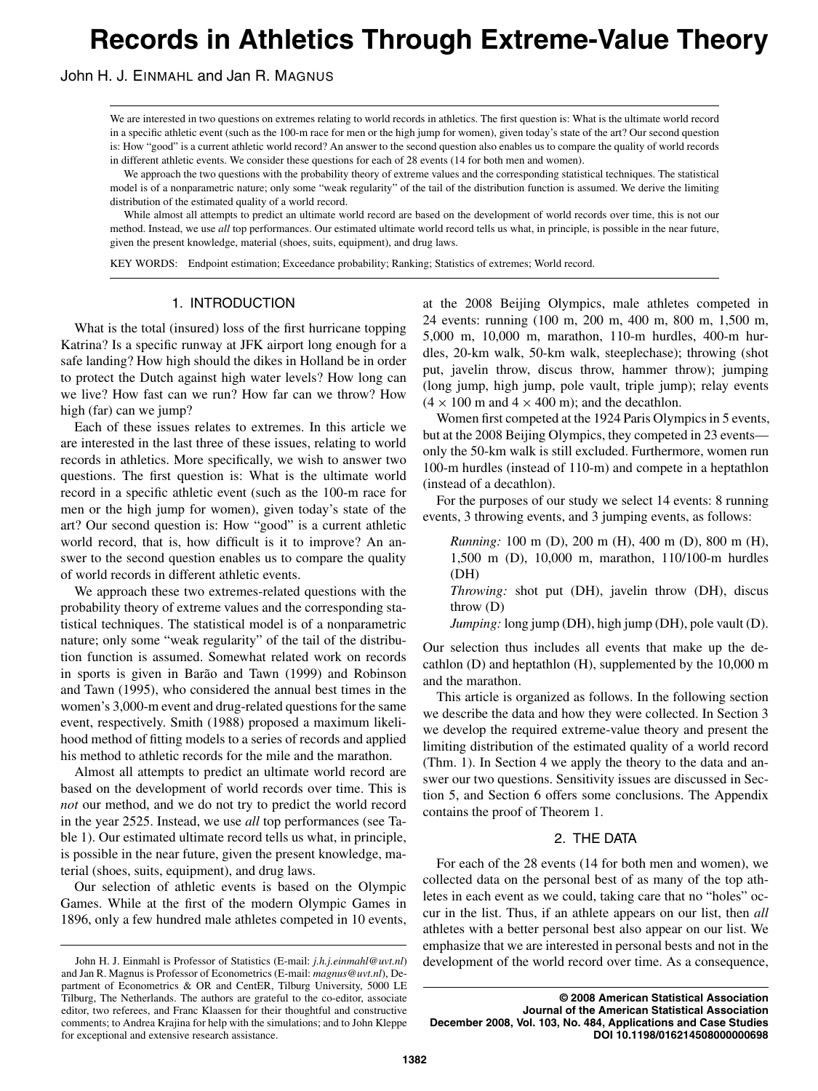# **Records in Athletics Through Extreme-Value Theory**

John H. J. EINMAHL and Jan R. MAGNUS

We are interested in two questions on extremes relating to world records in athletics. The first question is: What is the ultimate world record in a specific athletic event (such as the 100-m race for men or the high jump for women), given today's state of the art? Our second question is: How "good" is a current athletic world record? An answer to the second question also enables us to compare the quality of world records in different athletic events. We consider these questions for each of 28 events (14 for both men and women).

We approach the two questions with the probability theory of extreme values and the corresponding statistical techniques. The statistical model is of a nonparametric nature; only some "weak regularity" of the tail of the distribution function is assumed. We derive the limiting distribution of the estimated quality of a world record.

While almost all attempts to predict an ultimate world record are based on the development of world records over time, this is not our method. Instead, we use *all* top performances. Our estimated ultimate world record tells us what, in principle, is possible in the near future, given the present knowledge, material (shoes, suits, equipment), and drug laws.

KEY WORDS: Endpoint estimation; Exceedance probability; Ranking; Statistics of extremes; World record.

# 1. INTRODUCTION

What is the total (insured) loss of the first hurricane topping Katrina? Is a specific runway at JFK airport long enough for a safe landing? How high should the dikes in Holland be in order to protect the Dutch against high water levels? How long can we live? How fast can we run? How far can we throw? How high (far) can we jump?

Each of these issues relates to extremes. In this article we are interested in the last three of these issues, relating to world records in athletics. More specifically, we wish to answer two questions. The first question is: What is the ultimate world record in a specific athletic event (such as the 100-m race for men or the high jump for women), given today's state of the art? Our second question is: How "good" is a current athletic world record, that is, how difficult is it to improve? An answer to the second question enables us to compare the quality of world records in different athletic events.

We approach these two extremes-related questions with the probability theory of extreme values and the corresponding statistical techniques. The statistical model is of a nonparametric nature; only some "weak regularity" of the tail of the distribution function is assumed. Somewhat related work on records in sports is given in Barão and Tawn (1999) and Robinson and Tawn (1995), who considered the annual best times in the women's 3,000-m event and drug-related questions for the same event, respectively. Smith (1988) proposed a maximum likelihood method of fitting models to a series of records and applied his method to athletic records for the mile and the marathon.

Almost all attempts to predict an ultimate world record are based on the development of world records over time. This is *not* our method, and we do not try to predict the world record in the year 2525. Instead, we use *all* top performances (see Table 1). Our estimated ultimate record tells us what, in principle, is possible in the near future, given the present knowledge, material (shoes, suits, equipment), and drug laws.

Our selection of athletic events is based on the Olympic Games. While at the first of the modern Olympic Games in 1896, only a few hundred male athletes competed in 10 events,

at the 2008 Beijing Olympics, male athletes competed in 24 events: running (100 m, 200 m, 400 m, 800 m, 1,500 m, 5,000 m, 10,000 m, marathon, 110-m hurdles, 400-m hurdles, 20-km walk, 50-km walk, steeplechase); throwing (shot put, javelin throw, discus throw, hammer throw); jumping (long jump, high jump, pole vault, triple jump); relay events  $(4 \times 100 \text{ m and } 4 \times 400 \text{ m})$ ; and the decathlon.

Women first competed at the 1924 Paris Olympics in 5 events, but at the 2008 Beijing Olympics, they competed in 23 events only the 50-km walk is still excluded. Furthermore, women run 100-m hurdles (instead of 110-m) and compete in a heptathlon (instead of a decathlon).

For the purposes of our study we select 14 events: 8 running events, 3 throwing events, and 3 jumping events, as follows:

*Running:* 100 m (D), 200 m (H), 400 m (D), 800 m (H), 1,500 m (D), 10,000 m, marathon, 110/100-m hurdles (DH)

*Throwing:* shot put (DH), javelin throw (DH), discus throw (D)

*Jumping:* long jump (DH), high jump (DH), pole vault (D).

Our selection thus includes all events that make up the decathlon (D) and heptathlon (H), supplemented by the 10,000 m and the marathon.

This article is organized as follows. In the following section we describe the data and how they were collected. In Section 3 we develop the required extreme-value theory and present the limiting distribution of the estimated quality of a world record (Thm. 1). In Section 4 we apply the theory to the data and answer our two questions. Sensitivity issues are discussed in Section 5, and Section 6 offers some conclusions. The Appendix contains the proof of Theorem 1.

## 2. THE DATA

For each of the 28 events (14 for both men and women), we collected data on the personal best of as many of the top athletes in each event as we could, taking care that no "holes" occur in the list. Thus, if an athlete appears on our list, then *all* athletes with a better personal best also appear on our list. We emphasize that we are interested in personal bests and not in the development of the world record over time. As a consequence,

**© 2008 American Statistical Association Journal of the American Statistical Association December 2008, Vol. 103, No. 484, Applications and Case Studies DOI 10.1198/016214508000000698**

John H. J. Einmahl is Professor of Statistics (E-mail: *j.h.j.einmahl@uvt.nl*) and Jan R. Magnus is Professor of Econometrics (E-mail: *magnus@uvt.nl*), Department of Econometrics & OR and CentER, Tilburg University, 5000 LE Tilburg, The Netherlands. The authors are grateful to the co-editor, associate editor, two referees, and Franc Klaassen for their thoughtful and constructive comments; to Andrea Krajina for help with the simulations; and to John Kleppe for exceptional and extensive research assistance.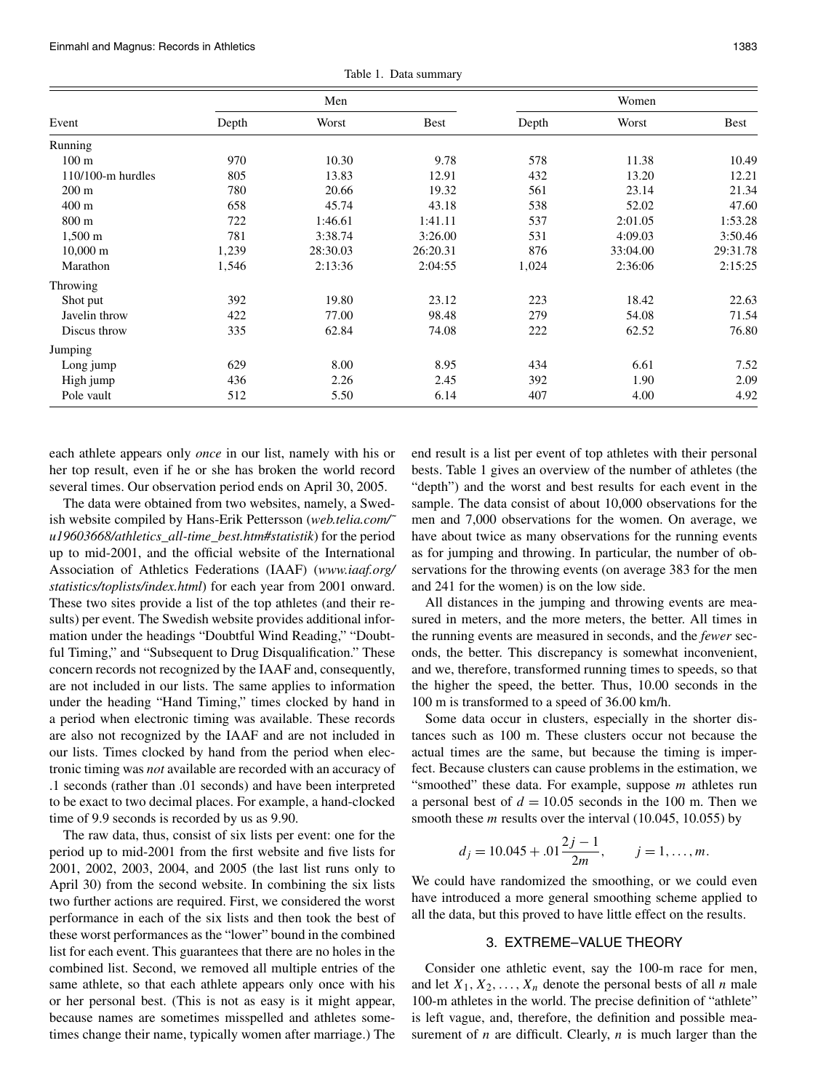Einmahl and Magnus: Records in Athletics 1383

Table 1. Data summary Men Women Event Depth Worst Best Depth Worst Best Running 100 m 578 10.30 9.78 578 11.38 10.49 110/100-m hurdles 805 13.83 12.91 432 13.20 12.21 200 m 780 20.66 19.32 561 23.14 21.34 400 m 658 45.74 43.18 538 52.02 47.60 800 m 722 1:46.61 1:41.11 537 2:01.05 1:53.28 1,500 m 781 3:38.74 3:26.00 531 4:09.03 3:50.46 10,000 m 1*,*239 28:30.03 26:20.31 876 33:04.00 29:31.78 Marathon 1*,*546 2:13:36 2:04:55 1*,*024 2:36:06 2:15:25 Throwing Shot put 392 19.80 23.12 223 18.42 22.63 Javelin throw 422 77.00 98.48 279 54.08 71.54 Discus throw 335 62.84 74.08 222 62.52 76.80 Jumping Long jump 629 8.00 8.95 434 6.61 7.52 High jump 436 2.26 2.45 392 1.90 2.09 Pole vault **512** 5.50 6.14 407 4.00 4.92

each athlete appears only *once* in our list, namely with his or her top result, even if he or she has broken the world record several times. Our observation period ends on April 30, 2005.

The data were obtained from two websites, namely, a Swedish website compiled by Hans-Erik Pettersson (*web.telia.com/˜ u19603668/athletics\_all-time\_best.htm#statistik*) for the period up to mid-2001, and the official website of the International Association of Athletics Federations (IAAF) (*www.iaaf.org/ statistics/toplists/index.html*) for each year from 2001 onward. These two sites provide a list of the top athletes (and their results) per event. The Swedish website provides additional information under the headings "Doubtful Wind Reading," "Doubtful Timing," and "Subsequent to Drug Disqualification." These concern records not recognized by the IAAF and, consequently, are not included in our lists. The same applies to information under the heading "Hand Timing," times clocked by hand in a period when electronic timing was available. These records are also not recognized by the IAAF and are not included in our lists. Times clocked by hand from the period when electronic timing was *not* available are recorded with an accuracy of .1 seconds (rather than .01 seconds) and have been interpreted to be exact to two decimal places. For example, a hand-clocked time of 9.9 seconds is recorded by us as 9.90.

The raw data, thus, consist of six lists per event: one for the period up to mid-2001 from the first website and five lists for 2001, 2002, 2003, 2004, and 2005 (the last list runs only to April 30) from the second website. In combining the six lists two further actions are required. First, we considered the worst performance in each of the six lists and then took the best of these worst performances as the "lower" bound in the combined list for each event. This guarantees that there are no holes in the combined list. Second, we removed all multiple entries of the same athlete, so that each athlete appears only once with his or her personal best. (This is not as easy is it might appear, because names are sometimes misspelled and athletes sometimes change their name, typically women after marriage.) The

end result is a list per event of top athletes with their personal bests. Table 1 gives an overview of the number of athletes (the "depth") and the worst and best results for each event in the sample. The data consist of about 10,000 observations for the men and 7,000 observations for the women. On average, we have about twice as many observations for the running events as for jumping and throwing. In particular, the number of observations for the throwing events (on average 383 for the men and 241 for the women) is on the low side.

All distances in the jumping and throwing events are measured in meters, and the more meters, the better. All times in the running events are measured in seconds, and the *fewer* seconds, the better. This discrepancy is somewhat inconvenient, and we, therefore, transformed running times to speeds, so that the higher the speed, the better. Thus, 10.00 seconds in the 100 m is transformed to a speed of 36.00 km/h.

Some data occur in clusters, especially in the shorter distances such as 100 m. These clusters occur not because the actual times are the same, but because the timing is imperfect. Because clusters can cause problems in the estimation, we "smoothed" these data. For example, suppose *m* athletes run a personal best of  $d = 10.05$  seconds in the 100 m. Then we smooth these *m* results over the interval (10.045, 10.055) by

$$
d_j = 10.045 + .01 \frac{2j-1}{2m}
$$
,  $j = 1, ..., m$ .

We could have randomized the smoothing, or we could even have introduced a more general smoothing scheme applied to all the data, but this proved to have little effect on the results.

# 3. EXTREME–VALUE THEORY

Consider one athletic event, say the 100-m race for men, and let  $X_1, X_2, \ldots, X_n$  denote the personal bests of all *n* male 100-m athletes in the world. The precise definition of "athlete" is left vague, and, therefore, the definition and possible measurement of *n* are difficult. Clearly, *n* is much larger than the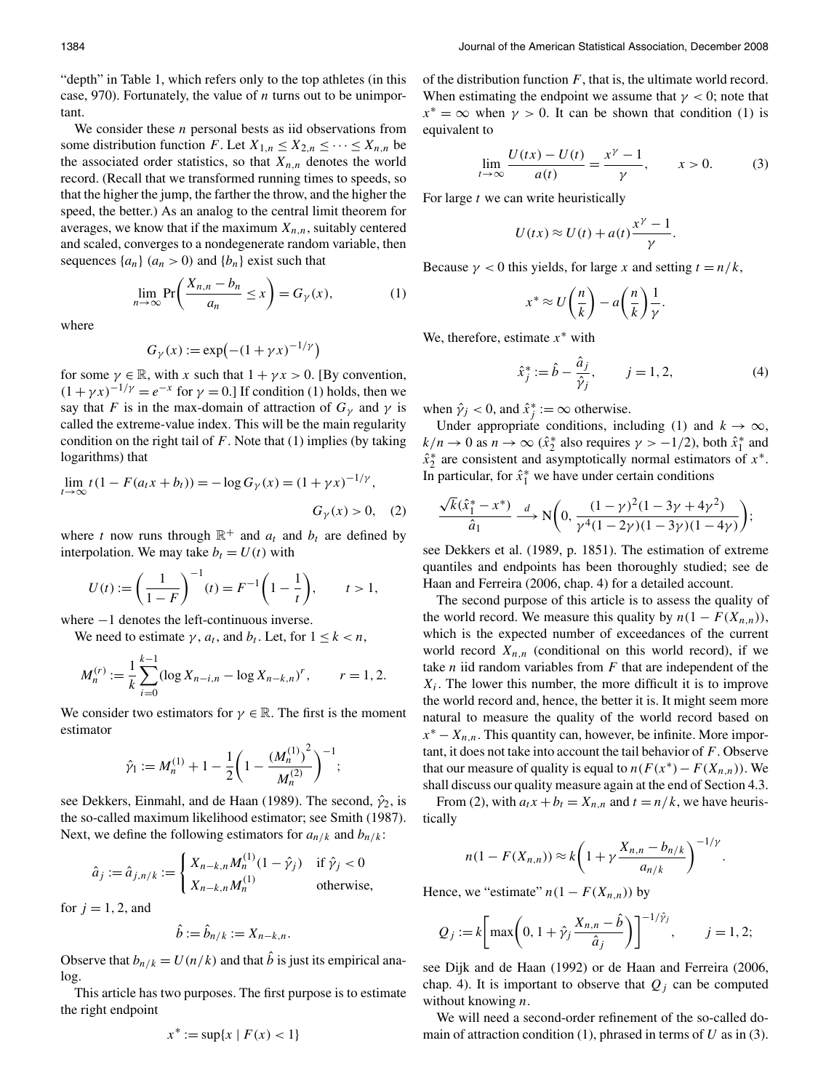"depth" in Table 1, which refers only to the top athletes (in this case, 970). Fortunately, the value of *n* turns out to be unimportant.

We consider these *n* personal bests as iid observations from some distribution function *F*. Let  $X_{1,n} \leq X_{2,n} \leq \cdots \leq X_{n,n}$  be the associated order statistics, so that  $X_{n,n}$  denotes the world record. (Recall that we transformed running times to speeds, so that the higher the jump, the farther the throw, and the higher the speed, the better.) As an analog to the central limit theorem for averages, we know that if the maximum  $X_{n,n}$ , suitably centered and scaled, converges to a nondegenerate random variable, then sequences  $\{a_n\}$   $(a_n > 0)$  and  $\{b_n\}$  exist such that

$$
\lim_{n \to \infty} \Pr\left(\frac{X_{n,n} - b_n}{a_n} \le x\right) = G_{\gamma}(x),\tag{1}
$$

where

$$
G_{\gamma}(x) := \exp\left(-(1 + \gamma x)^{-1/\gamma}\right)
$$

for some  $\gamma \in \mathbb{R}$ , with *x* such that  $1 + \gamma x > 0$ . [By convention,  $(1 + \gamma x)^{-1/\gamma} = e^{-x}$  for  $\gamma = 0$ .] If condition (1) holds, then we say that *F* is in the max-domain of attraction of  $G_\gamma$  and  $\gamma$  is called the extreme-value index. This will be the main regularity condition on the right tail of  $F$ . Note that  $(1)$  implies (by taking logarithms) that

$$
\lim_{t \to \infty} t(1 - F(a_t x + b_t)) = -\log G_{\gamma}(x) = (1 + \gamma x)^{-1/\gamma},
$$
  

$$
G_{\gamma}(x) > 0, \quad (2)
$$

where *t* now runs through  $\mathbb{R}^+$  and  $a_t$  and  $b_t$  are defined by interpolation. We may take  $b_t = U(t)$  with

$$
U(t) := \left(\frac{1}{1-F}\right)^{-1}(t) = F^{-1}\left(1 - \frac{1}{t}\right), \qquad t > 1,
$$

where −1 denotes the left-continuous inverse.

We need to estimate  $\gamma$ ,  $a_t$ , and  $b_t$ . Let, for  $1 \leq k < n$ ,

$$
M_n^{(r)} := \frac{1}{k} \sum_{i=0}^{k-1} (\log X_{n-i,n} - \log X_{n-k,n})^r, \qquad r = 1, 2.
$$

We consider two estimators for  $\gamma \in \mathbb{R}$ . The first is the moment estimator

$$
\hat{\gamma}_1 := M_n^{(1)} + 1 - \frac{1}{2} \bigg( 1 - \frac{(M_n^{(1)})^2}{M_n^{(2)}} \bigg)^{-1};
$$

see Dekkers, Einmahl, and de Haan (1989). The second,  $\hat{\gamma}_2$ , is the so-called maximum likelihood estimator; see Smith (1987). Next, we define the following estimators for  $a_{n/k}$  and  $b_{n/k}$ :

$$
\hat{a}_j := \hat{a}_{j,n/k} := \begin{cases} X_{n-k,n} M_n^{(1)} (1 - \hat{\gamma}_j) & \text{if } \hat{\gamma}_j < 0 \\ X_{n-k,n} M_n^{(1)} & \text{otherwise,} \end{cases}
$$

for  $j = 1, 2$ , and

$$
\hat{b} := \hat{b}_{n/k} := X_{n-k,n}.
$$

Observe that  $b_{n/k} = U(n/k)$  and that *b* is just its empirical analog.

This article has two purposes. The first purpose is to estimate the right endpoint

$$
x^* := \sup\{x \mid F(x) < 1\}
$$

of the distribution function *F*, that is, the ultimate world record. When estimating the endpoint we assume that  $\gamma$  < 0; note that  $x^* = \infty$  when  $\gamma > 0$ . It can be shown that condition (1) is equivalent to

$$
\lim_{t \to \infty} \frac{U(tx) - U(t)}{a(t)} = \frac{x^{\gamma} - 1}{\gamma}, \qquad x > 0.
$$
 (3)

For large *t* we can write heuristically

$$
U(tx) \approx U(t) + a(t) \frac{x^{\gamma} - 1}{\gamma}.
$$

Because  $\gamma$  < 0 this yields, for large *x* and setting  $t = n/k$ ,

$$
x^* \approx U\left(\frac{n}{k}\right) - a\left(\frac{n}{k}\right)\frac{1}{\gamma}.
$$

We, therefore, estimate *x*<sup>∗</sup> with

$$
\hat{x}_j^* := \hat{b} - \frac{\hat{a}_j}{\hat{y}_j}, \qquad j = 1, 2,
$$
 (4)

when  $\hat{\gamma}_j < 0$ , and  $\hat{x}_j^* := \infty$  otherwise.

Under appropriate conditions, including (1) and  $k \to \infty$ ,  $k/n \to 0$  as  $n \to \infty$  ( $\hat{x}_2^*$  also requires  $\gamma > -1/2$ ), both  $\hat{x}_1^*$  and  $\hat{x}_2^*$  are consistent and asymptotically normal estimators of  $x^*$ . In particular, for  $\hat{x}_1^*$  we have under certain conditions

$$
\frac{\sqrt{k}(\hat{x}_1^* - x^*)}{\hat{a}_1} \xrightarrow{d} N\left(0, \frac{(1-\gamma)^2(1-3\gamma+4\gamma^2)}{\gamma^4(1-2\gamma)(1-3\gamma)(1-4\gamma)}\right);
$$

see Dekkers et al. (1989, p. 1851). The estimation of extreme quantiles and endpoints has been thoroughly studied; see de Haan and Ferreira (2006, chap. 4) for a detailed account.

The second purpose of this article is to assess the quality of the world record. We measure this quality by  $n(1 - F(X_{n,n}))$ , which is the expected number of exceedances of the current world record  $X_{n,n}$  (conditional on this world record), if we take *n* iid random variables from *F* that are independent of the  $X_i$ . The lower this number, the more difficult it is to improve the world record and, hence, the better it is. It might seem more natural to measure the quality of the world record based on  $x^* - X_{n,n}$ . This quantity can, however, be infinite. More important, it does not take into account the tail behavior of *F*. Observe that our measure of quality is equal to  $n(F(x^*) - F(X_{n,n}))$ . We shall discuss our quality measure again at the end of Section 4.3.

From (2), with  $a_t x + b_t = X_{n,n}$  and  $t = n/k$ , we have heuristically

$$
n(1 - F(X_{n,n})) \approx k \left(1 + \gamma \frac{X_{n,n} - b_{n/k}}{a_{n/k}}\right)^{-1/\gamma}.
$$

Hence, we "estimate"  $n(1 - F(X_{n,n}))$  by

$$
Q_j := k \bigg[ \max \bigg( 0, 1 + \hat{\gamma}_j \frac{X_{n,n} - \hat{b}}{\hat{a}_j} \bigg) \bigg]^{-1/\hat{\gamma}_j}, \qquad j = 1, 2;
$$

see Dijk and de Haan (1992) or de Haan and Ferreira (2006, chap. 4). It is important to observe that  $Q_i$  can be computed without knowing *n*.

We will need a second-order refinement of the so-called domain of attraction condition (1), phrased in terms of *U* as in (3).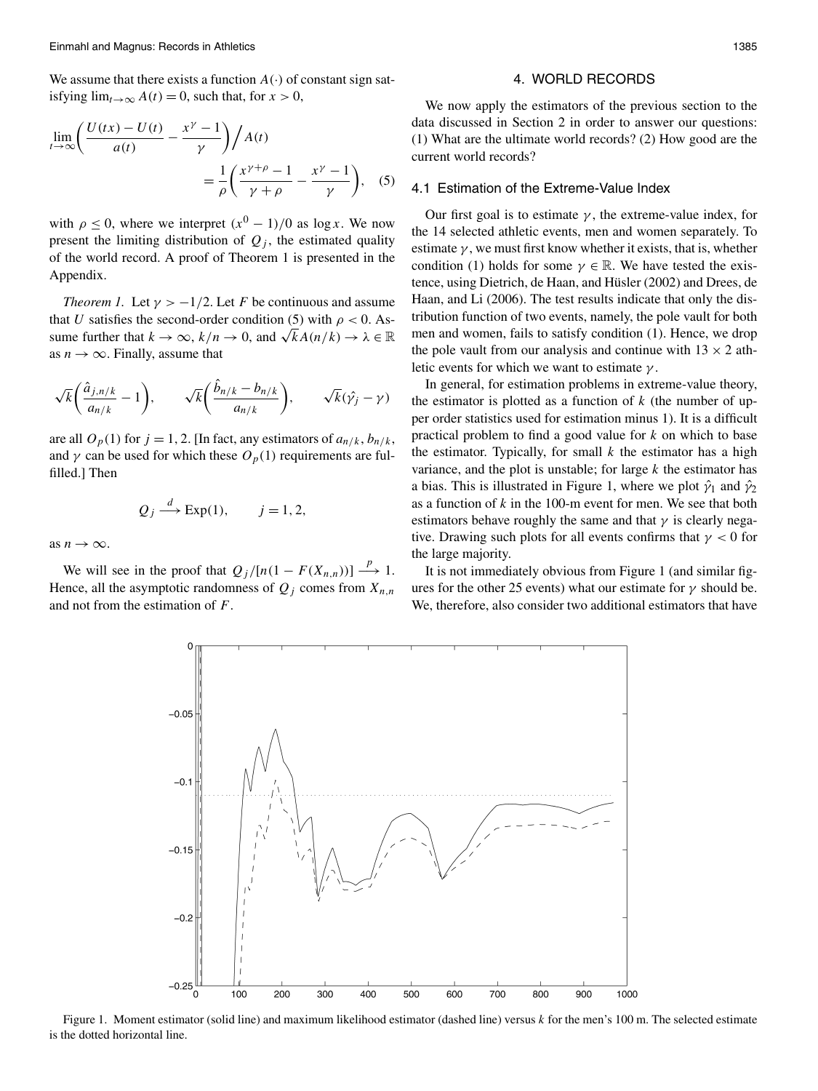We assume that there exists a function  $A(\cdot)$  of constant sign satisfying  $\lim_{t\to\infty} A(t) = 0$ , such that, for  $x > 0$ ,

$$
\lim_{t \to \infty} \left( \frac{U(tx) - U(t)}{a(t)} - \frac{x^{\gamma} - 1}{\gamma} \right) / A(t)
$$

$$
= \frac{1}{\rho} \left( \frac{x^{\gamma + \rho} - 1}{\gamma + \rho} - \frac{x^{\gamma} - 1}{\gamma} \right), \quad (5)
$$

with  $\rho \leq 0$ , where we interpret  $(x^0 - 1)/0$  as  $\log x$ . We now present the limiting distribution of  $Q_i$ , the estimated quality of the world record. A proof of Theorem 1 is presented in the Appendix.

*Theorem 1.* Let  $\gamma > -1/2$ . Let *F* be continuous and assume that *U* satisfies the second-order condition (5) with  $\rho < 0$ . Assume further that  $k \to \infty$ ,  $k/n \to 0$ , and  $\sqrt{k}A(n/k) \to \lambda \in \mathbb{R}$ as  $n \to \infty$ . Finally, assume that

$$
\sqrt{k}\bigg(\frac{\hat{a}_{j,n/k}}{a_{n/k}}-1\bigg),\qquad \sqrt{k}\bigg(\frac{\hat{b}_{n/k}-b_{n/k}}{a_{n/k}}\bigg),\qquad \sqrt{k}(\hat{\gamma_j}-\gamma)
$$

are all  $O_p(1)$  for  $j = 1, 2$ . [In fact, any estimators of  $a_{n/k}, b_{n/k}$ , and  $\gamma$  can be used for which these  $O_p(1)$  requirements are fulfilled.] Then

$$
Q_j \xrightarrow{d} \text{Exp}(1), \qquad j = 1, 2,
$$

as  $n \to \infty$ .

We will see in the proof that  $Q_j/[n(1 - F(X_{n,n}))] \stackrel{p}{\longrightarrow} 1$ . Hence, all the asymptotic randomness of  $Q_i$  comes from  $X_{n,n}$ and not from the estimation of *F*.

## 4. WORLD RECORDS

We now apply the estimators of the previous section to the data discussed in Section 2 in order to answer our questions: (1) What are the ultimate world records? (2) How good are the current world records?

#### 4.1 Estimation of the Extreme-Value Index

Our first goal is to estimate  $\gamma$ , the extreme-value index, for the 14 selected athletic events, men and women separately. To estimate  $\gamma$ , we must first know whether it exists, that is, whether condition (1) holds for some  $\gamma \in \mathbb{R}$ . We have tested the existence, using Dietrich, de Haan, and Hüsler (2002) and Drees, de Haan, and Li (2006). The test results indicate that only the distribution function of two events, namely, the pole vault for both men and women, fails to satisfy condition (1). Hence, we drop the pole vault from our analysis and continue with  $13 \times 2$  athletic events for which we want to estimate *γ* .

In general, for estimation problems in extreme-value theory, the estimator is plotted as a function of  $k$  (the number of upper order statistics used for estimation minus 1). It is a difficult practical problem to find a good value for *k* on which to base the estimator. Typically, for small  $k$  the estimator has a high variance, and the plot is unstable; for large *k* the estimator has a bias. This is illustrated in Figure 1, where we plot  $\hat{\gamma}_1$  and  $\hat{\gamma}_2$ as a function of *k* in the 100-m event for men. We see that both estimators behave roughly the same and that  $\gamma$  is clearly negative. Drawing such plots for all events confirms that *γ <* 0 for the large majority.

It is not immediately obvious from Figure 1 (and similar figures for the other 25 events) what our estimate for  $\gamma$  should be. We, therefore, also consider two additional estimators that have



Figure 1. Moment estimator (solid line) and maximum likelihood estimator (dashed line) versus *k* for the men's 100 m. The selected estimate is the dotted horizontal line.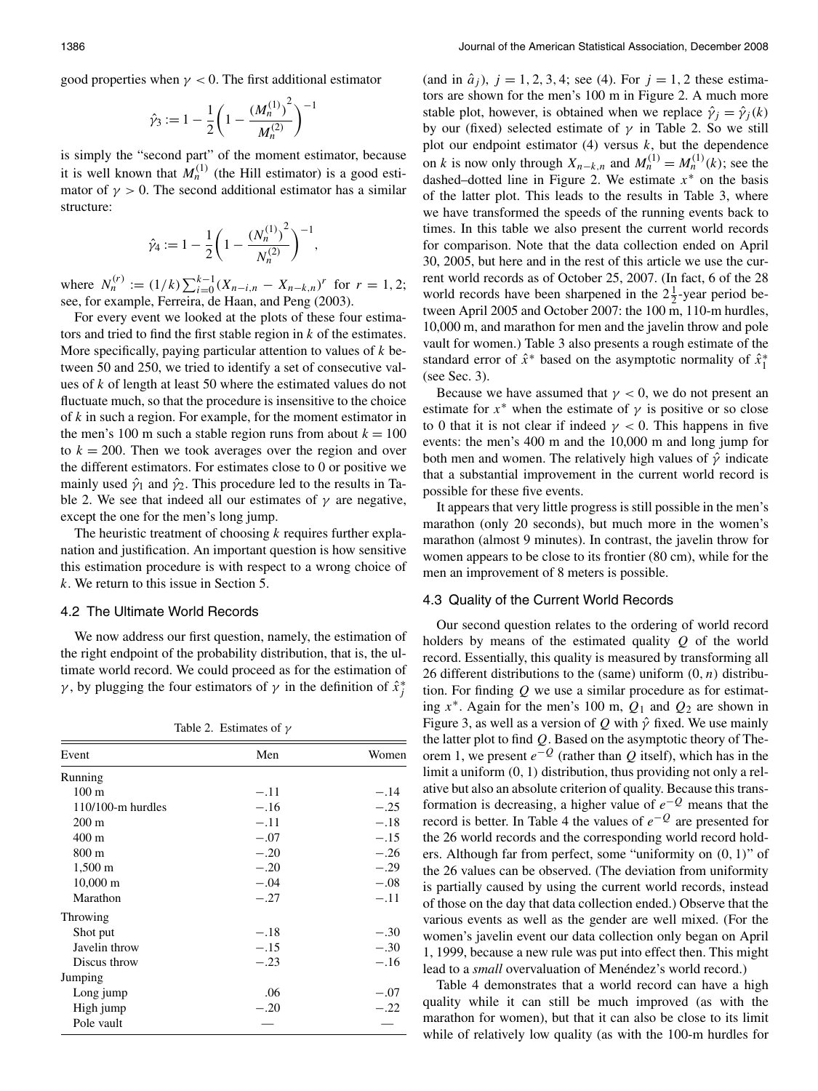good properties when  $\gamma < 0$ . The first additional estimator

$$
\hat{\gamma}_3 := 1 - \frac{1}{2} \left( 1 - \frac{(M_n^{(1)})^2}{M_n^{(2)}} \right)^{-1}
$$

is simply the "second part" of the moment estimator, because it is well known that  $M_n^{(1)}$  (the Hill estimator) is a good estimator of  $\gamma > 0$ . The second additional estimator has a similar structure:

$$
\hat{\gamma}_4 := 1 - \frac{1}{2} \left( 1 - \frac{(N_n^{(1)})^2}{N_n^{(2)}} \right)^{-1},
$$

where  $N_n^{(r)} := (1/k) \sum_{i=0}^{k-1} (X_{n-i,n} - X_{n-k,n})^r$  for  $r = 1, 2;$ see, for example, Ferreira, de Haan, and Peng (2003).

For every event we looked at the plots of these four estimators and tried to find the first stable region in *k* of the estimates. More specifically, paying particular attention to values of *k* between 50 and 250, we tried to identify a set of consecutive values of *k* of length at least 50 where the estimated values do not fluctuate much, so that the procedure is insensitive to the choice of *k* in such a region. For example, for the moment estimator in the men's 100 m such a stable region runs from about  $k = 100$ to  $k = 200$ . Then we took averages over the region and over the different estimators. For estimates close to 0 or positive we mainly used  $\hat{\gamma}_1$  and  $\hat{\gamma}_2$ . This procedure led to the results in Table 2. We see that indeed all our estimates of  $\gamma$  are negative, except the one for the men's long jump.

The heuristic treatment of choosing *k* requires further explanation and justification. An important question is how sensitive this estimation procedure is with respect to a wrong choice of *k*. We return to this issue in Section 5.

#### 4.2 The Ultimate World Records

We now address our first question, namely, the estimation of the right endpoint of the probability distribution, that is, the ultimate world record. We could proceed as for the estimation of *γ*, by plugging the four estimators of *γ* in the definition of  $\hat{x}^*$ <sup>*j*</sup>

|  | Table 2. Estimates of $\gamma$ |  |
|--|--------------------------------|--|
|--|--------------------------------|--|

| Event                  | Men    | Women  |
|------------------------|--------|--------|
| Running                |        |        |
| $100 \text{ m}$        | $-.11$ | $-.14$ |
| $110/100$ -m hurdles   | $-.16$ | $-.25$ |
| $200 \text{ m}$        | $-.11$ | $-.18$ |
| $400 \text{ m}$        | $-.07$ | $-.15$ |
| $800 \text{ m}$        | $-.20$ | $-.26$ |
| $1,500 \; \mathrm{m}$  | $-.20$ | $-.29$ |
| $10,000 \; \mathrm{m}$ | $-.04$ | $-.08$ |
| Marathon               | $-.27$ | $-.11$ |
| Throwing               |        |        |
| Shot put               | $-.18$ | $-.30$ |
| Javelin throw          | $-.15$ | $-.30$ |
| Discus throw           | $-.23$ | $-.16$ |
| Jumping                |        |        |
| Long jump              | .06    | $-.07$ |
| High jump              | $-.20$ | $-.22$ |
| Pole vault             |        |        |

(and in  $\hat{a}_j$ ),  $j = 1, 2, 3, 4$ ; see (4). For  $j = 1, 2$  these estimators are shown for the men's 100 m in Figure 2. A much more stable plot, however, is obtained when we replace  $\hat{\gamma}_i = \hat{\gamma}_i(k)$ by our (fixed) selected estimate of *γ* in Table 2. So we still plot our endpoint estimator  $(4)$  versus  $k$ , but the dependence on *k* is now only through  $X_{n-k,n}$  and  $M_n^{(1)} = M_n^{(1)}(k)$ ; see the dashed–dotted line in Figure 2. We estimate  $x^*$  on the basis of the latter plot. This leads to the results in Table 3, where we have transformed the speeds of the running events back to times. In this table we also present the current world records for comparison. Note that the data collection ended on April 30, 2005, but here and in the rest of this article we use the current world records as of October 25, 2007. (In fact, 6 of the 28 world records have been sharpened in the  $2\frac{1}{2}$ -year period between April 2005 and October 2007: the 100 m, 110-m hurdles, 10,000 m, and marathon for men and the javelin throw and pole vault for women.) Table 3 also presents a rough estimate of the standard error of  $\hat{x}$ <sup>∗</sup> based on the asymptotic normality of  $\hat{x}_1$ <sup>∗</sup> (see Sec. 3).

Because we have assumed that  $\gamma$  < 0, we do not present an estimate for  $x^*$  when the estimate of  $\gamma$  is positive or so close to 0 that it is not clear if indeed  $\gamma < 0$ . This happens in five events: the men's 400 m and the 10,000 m and long jump for both men and women. The relatively high values of *γ*ˆ indicate that a substantial improvement in the current world record is possible for these five events.

It appears that very little progress is still possible in the men's marathon (only 20 seconds), but much more in the women's marathon (almost 9 minutes). In contrast, the javelin throw for women appears to be close to its frontier (80 cm), while for the men an improvement of 8 meters is possible.

#### 4.3 Quality of the Current World Records

Our second question relates to the ordering of world record holders by means of the estimated quality *Q* of the world record. Essentially, this quality is measured by transforming all 26 different distributions to the (same) uniform *(*0*,n)* distribution. For finding *Q* we use a similar procedure as for estimating  $x^*$ . Again for the men's 100 m,  $Q_1$  and  $Q_2$  are shown in Figure 3, as well as a version of *Q* with *γ*ˆ fixed. We use mainly the latter plot to find *Q*. Based on the asymptotic theory of Theorem 1, we present  $e^{-Q}$  (rather than *Q* itself), which has in the limit a uniform *(*0*,* 1*)* distribution, thus providing not only a relative but also an absolute criterion of quality. Because this transformation is decreasing, a higher value of *e*−*<sup>Q</sup>* means that the record is better. In Table 4 the values of *e*−*<sup>Q</sup>* are presented for the 26 world records and the corresponding world record holders. Although far from perfect, some "uniformity on *(*0*,* 1*)*" of the 26 values can be observed. (The deviation from uniformity is partially caused by using the current world records, instead of those on the day that data collection ended.) Observe that the various events as well as the gender are well mixed. (For the women's javelin event our data collection only began on April 1, 1999, because a new rule was put into effect then. This might lead to a *small* overvaluation of Menéndez's world record.)

Table 4 demonstrates that a world record can have a high quality while it can still be much improved (as with the marathon for women), but that it can also be close to its limit while of relatively low quality (as with the 100-m hurdles for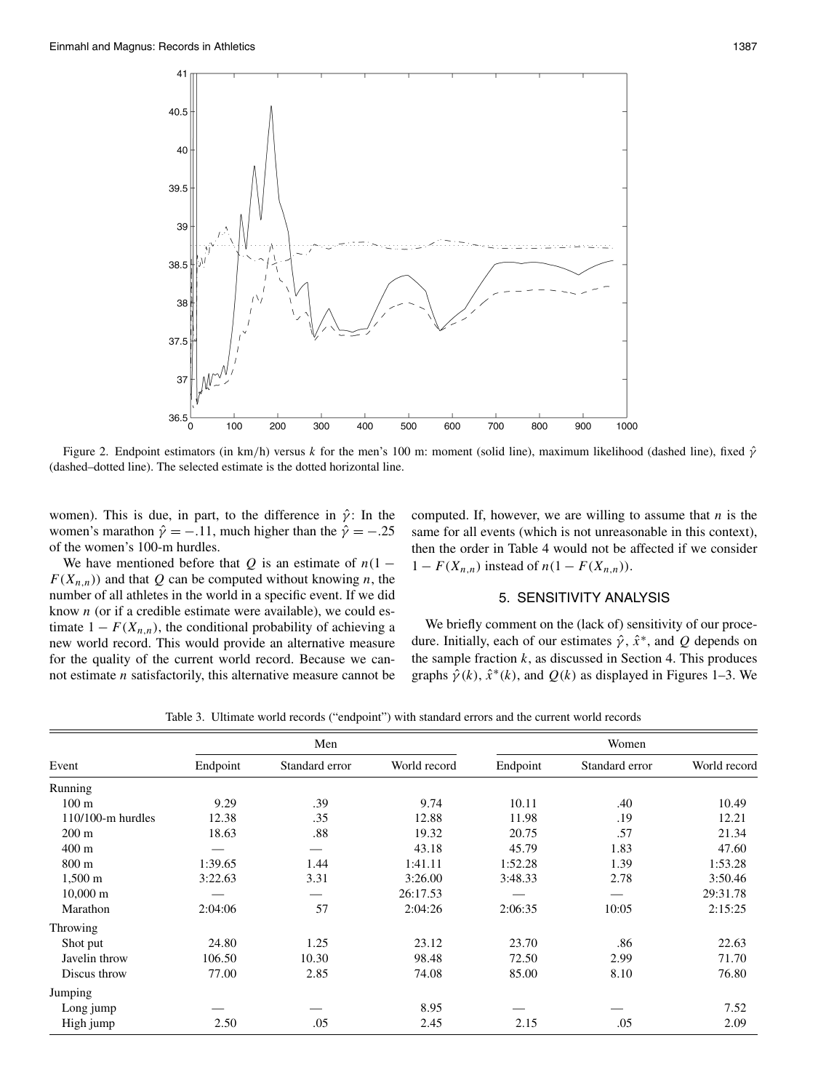

Figure 2. Endpoint estimators (in km*/*h) versus *k* for the men's 100 m: moment (solid line), maximum likelihood (dashed line), fixed *γ*ˆ (dashed–dotted line). The selected estimate is the dotted horizontal line.

women). This is due, in part, to the difference in  $\hat{\gamma}$ : In the women's marathon  $\hat{\gamma} = -.11$ , much higher than the  $\hat{\gamma} = -.25$ of the women's 100-m hurdles.

We have mentioned before that *Q* is an estimate of  $n(1 F(X_{n,n})$  and that Q can be computed without knowing *n*, the number of all athletes in the world in a specific event. If we did know *n* (or if a credible estimate were available), we could estimate  $1 - F(X_{n,n})$ , the conditional probability of achieving a new world record. This would provide an alternative measure for the quality of the current world record. Because we cannot estimate *n* satisfactorily, this alternative measure cannot be computed. If, however, we are willing to assume that *n* is the same for all events (which is not unreasonable in this context), then the order in Table 4 would not be affected if we consider  $1 - F(X_{n,n})$  instead of  $n(1 - F(X_{n,n}))$ .

## 5. SENSITIVITY ANALYSIS

We briefly comment on the (lack of) sensitivity of our procedure. Initially, each of our estimates *γ*ˆ, *x*ˆ∗, and *Q* depends on the sample fraction  $k$ , as discussed in Section 4. This produces graphs  $\hat{\gamma}(k)$ ,  $\hat{x}^*(k)$ , and  $Q(k)$  as displayed in Figures 1–3. We

|  |  |  |  | Table 3. Ultimate world records ("endpoint") with standard errors and the current world records |  |  |  |  |  |  |  |  |  |
|--|--|--|--|-------------------------------------------------------------------------------------------------|--|--|--|--|--|--|--|--|--|
|--|--|--|--|-------------------------------------------------------------------------------------------------|--|--|--|--|--|--|--|--|--|

|                       |          | Men            |              | Women    |                |              |  |
|-----------------------|----------|----------------|--------------|----------|----------------|--------------|--|
| Event                 | Endpoint | Standard error | World record | Endpoint | Standard error | World record |  |
| Running               |          |                |              |          |                |              |  |
| 100 <sub>m</sub>      | 9.29     | .39            | 9.74         | 10.11    | .40            | 10.49        |  |
| $110/100$ -m hurdles  | 12.38    | .35            | 12.88        | 11.98    | .19            | 12.21        |  |
| $200 \text{ m}$       | 18.63    | .88            | 19.32        | 20.75    | .57            | 21.34        |  |
| $400 \text{ m}$       |          |                | 43.18        | 45.79    | 1.83           | 47.60        |  |
| $800 \text{ m}$       | 1:39.65  | 1.44           | 1:41.11      | 1:52.28  | 1.39           | 1:53.28      |  |
| $1,500 \; \mathrm{m}$ | 3:22.63  | 3.31           | 3:26.00      | 3:48.33  | 2.78           | 3:50.46      |  |
| $10,000 \text{ m}$    |          |                | 26:17.53     |          |                | 29:31.78     |  |
| Marathon              | 2:04:06  | 57             | 2:04:26      | 2:06:35  | 10:05          | 2:15:25      |  |
| Throwing              |          |                |              |          |                |              |  |
| Shot put              | 24.80    | 1.25           | 23.12        | 23.70    | .86            | 22.63        |  |
| Javelin throw         | 106.50   | 10.30          | 98.48        | 72.50    | 2.99           | 71.70        |  |
| Discus throw          | 77.00    | 2.85           | 74.08        | 85.00    | 8.10           | 76.80        |  |
| Jumping               |          |                |              |          |                |              |  |
| Long jump             |          |                | 8.95         |          |                | 7.52         |  |
| High jump             | 2.50     | .05            | 2.45         | 2.15     | .05            | 2.09         |  |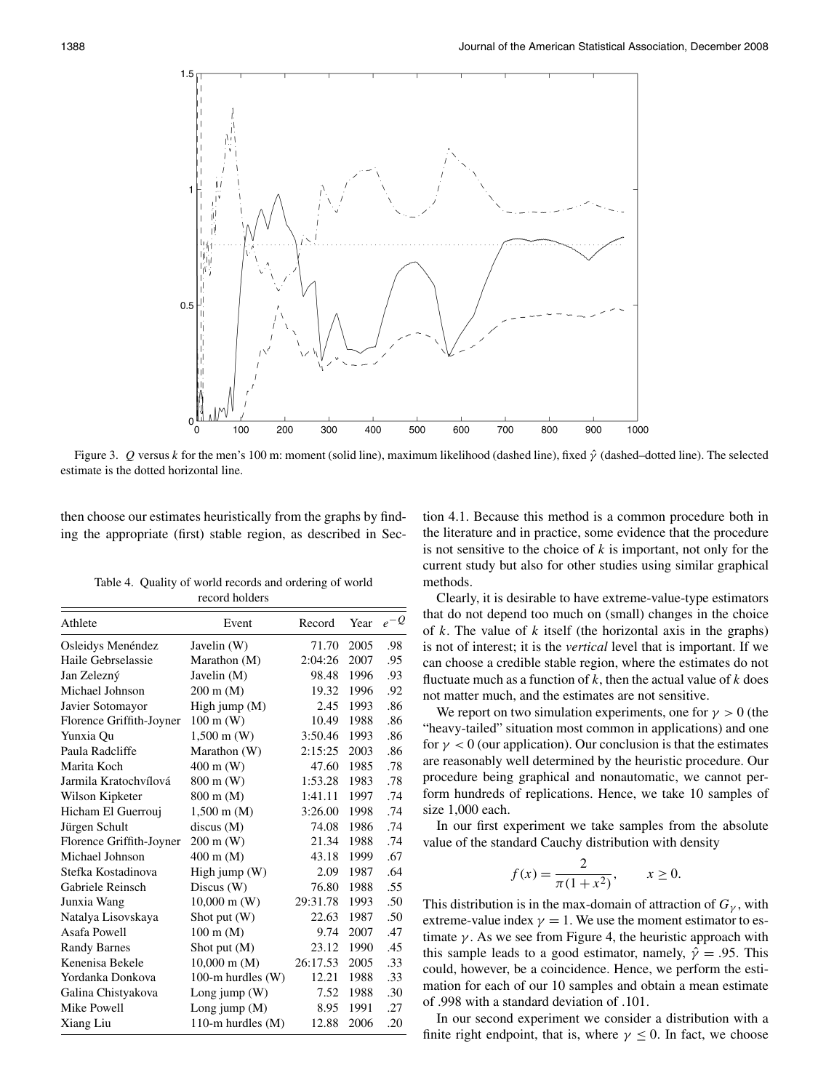

Figure 3. *Q* versus *k* for the men's 100 m: moment (solid line), maximum likelihood (dashed line), fixed *γ*ˆ (dashed–dotted line). The selected estimate is the dotted horizontal line.

then choose our estimates heuristically from the graphs by finding the appropriate (first) stable region, as described in Sec-

Table 4. Quality of world records and ordering of world record holders

| Athlete                  | Event                  | Record   | Year | $e^{-Q}$ |
|--------------------------|------------------------|----------|------|----------|
| Osleidys Menéndez        | Javelin (W)            | 71.70    | 2005 | .98      |
| Haile Gebrselassie       | Marathon (M)           | 2:04:26  | 2007 | .95      |
| Jan Zelezný              | Javelin (M)            | 98.48    | 1996 | .93      |
| Michael Johnson          | $200 \text{ m}$ (M)    | 19.32    | 1996 | .92      |
| Javier Sotomayor         | High jump $(M)$        | 2.45     | 1993 | .86      |
| Florence Griffith-Joyner | $100 \text{ m}$ (W)    | 10.49    | 1988 | .86      |
| Yunxia Ou                | $1,500 \text{ m}$ (W)  | 3:50.46  | 1993 | .86      |
| Paula Radcliffe          | Marathon (W)           | 2:15:25  | 2003 | .86      |
| Marita Koch              | $400 \text{ m}$ (W)    | 47.60    | 1985 | .78      |
| Jarmila Kratochvílová    | 800 m (W)              | 1:53.28  | 1983 | .78      |
| Wilson Kipketer          | 800 m (M)              | 1:41.11  | 1997 | .74      |
| Hicham El Guerrouj       | $1,500 \text{ m}$ (M)  | 3:26.00  | 1998 | .74      |
| Jürgen Schult            | discus(M)              | 74.08    | 1986 | .74      |
| Florence Griffith-Joyner | $200 \text{ m}$ (W)    | 21.34    | 1988 | .74      |
| Michael Johnson          | $400 \text{ m}$ (M)    | 43.18    | 1999 | .67      |
| Stefka Kostadinova       | High jump $(W)$        | 2.09     | 1987 | .64      |
| Gabriele Reinsch         | Discus (W)             | 76.80    | 1988 | .55      |
| Junxia Wang              | $10,000 \text{ m}$ (W) | 29:31.78 | 1993 | .50      |
| Natalya Lisovskaya       | Shot put $(W)$         | 22.63    | 1987 | .50      |
| Asafa Powell             | $100 \text{ m}$ (M)    | 9.74     | 2007 | .47      |
| <b>Randy Barnes</b>      | Shot put $(M)$         | 23.12    | 1990 | .45      |
| Kenenisa Bekele          | $10,000 \text{ m}$ (M) | 26:17.53 | 2005 | .33      |
| Yordanka Donkova         | 100-m hurdles $(W)$    | 12.21    | 1988 | .33      |
| Galina Chistyakova       | Long jump $(W)$        | 7.52     | 1988 | .30      |
| Mike Powell              | Long jump $(M)$        | 8.95     | 1991 | .27      |
| Xiang Liu                | 110-m hurdles $(M)$    | 12.88    | 2006 | .20      |

tion 4.1. Because this method is a common procedure both in the literature and in practice, some evidence that the procedure is not sensitive to the choice of *k* is important, not only for the current study but also for other studies using similar graphical methods.

Clearly, it is desirable to have extreme-value-type estimators that do not depend too much on (small) changes in the choice of *k*. The value of *k* itself (the horizontal axis in the graphs) is not of interest; it is the *vertical* level that is important. If we can choose a credible stable region, where the estimates do not fluctuate much as a function of  $k$ , then the actual value of  $k$  does not matter much, and the estimates are not sensitive.

We report on two simulation experiments, one for  $\gamma > 0$  (the "heavy-tailed" situation most common in applications) and one for  $\gamma < 0$  (our application). Our conclusion is that the estimates are reasonably well determined by the heuristic procedure. Our procedure being graphical and nonautomatic, we cannot perform hundreds of replications. Hence, we take 10 samples of size 1,000 each.

In our first experiment we take samples from the absolute value of the standard Cauchy distribution with density

$$
f(x) = \frac{2}{\pi(1 + x^2)}, \qquad x \ge 0.
$$

This distribution is in the max-domain of attraction of  $G_\gamma$ , with extreme-value index  $\gamma = 1$ . We use the moment estimator to estimate  $\gamma$ . As we see from Figure 4, the heuristic approach with this sample leads to a good estimator, namely,  $\hat{\gamma} = .95$ . This could, however, be a coincidence. Hence, we perform the estimation for each of our 10 samples and obtain a mean estimate of .998 with a standard deviation of *.*101.

In our second experiment we consider a distribution with a finite right endpoint, that is, where  $\gamma \leq 0$ . In fact, we choose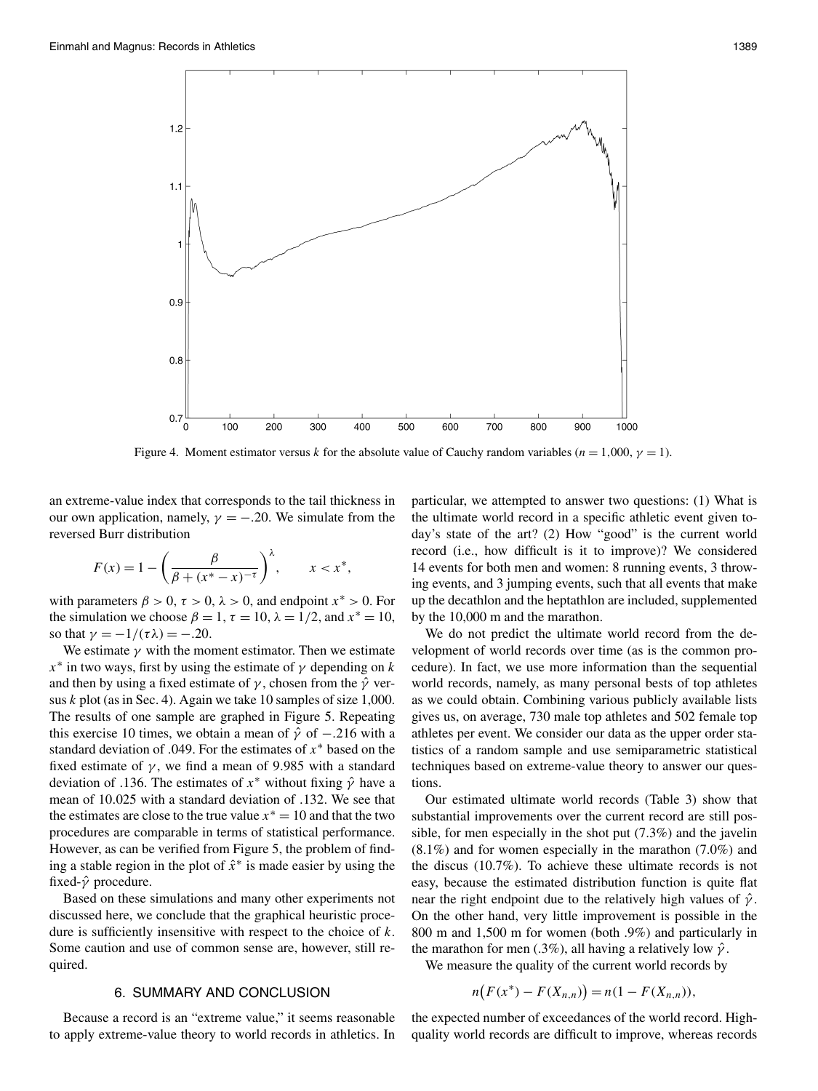

Figure 4. Moment estimator versus *k* for the absolute value of Cauchy random variables ( $n = 1,000$ ,  $\gamma = 1$ ).

an extreme-value index that corresponds to the tail thickness in our own application, namely,  $\gamma = -.20$ . We simulate from the reversed Burr distribution

$$
F(x) = 1 - \left(\frac{\beta}{\beta + (x^* - x)^{-\tau}}\right)^{\lambda}, \qquad x < x^*,
$$

with parameters  $\beta > 0$ ,  $\tau > 0$ ,  $\lambda > 0$ , and endpoint  $x^* > 0$ . For the simulation we choose  $\beta = 1$ ,  $\tau = 10$ ,  $\lambda = 1/2$ , and  $x^* = 10$ , so that  $\gamma = -1/(\tau \lambda) = -.20$ .

We estimate  $\gamma$  with the moment estimator. Then we estimate  $x^*$  in two ways, first by using the estimate of  $\gamma$  depending on *k* and then by using a fixed estimate of  $\gamma$ , chosen from the  $\hat{\gamma}$  versus *k* plot (as in Sec. 4). Again we take 10 samples of size 1,000. The results of one sample are graphed in Figure 5. Repeating this exercise 10 times, we obtain a mean of  $\hat{\gamma}$  of  $-.216$  with a standard deviation of *.*049. For the estimates of *x*<sup>∗</sup> based on the fixed estimate of  $\gamma$ , we find a mean of 9.985 with a standard deviation of *.*136. The estimates of *x*<sup>∗</sup> without fixing *γ*ˆ have a mean of 10*.*025 with a standard deviation of *.*132. We see that the estimates are close to the true value  $x^* = 10$  and that the two procedures are comparable in terms of statistical performance. However, as can be verified from Figure 5, the problem of finding a stable region in the plot of *x*ˆ<sup>∗</sup> is made easier by using the fixed-*γ*ˆ procedure.

Based on these simulations and many other experiments not discussed here, we conclude that the graphical heuristic procedure is sufficiently insensitive with respect to the choice of *k*. Some caution and use of common sense are, however, still required.

## 6. SUMMARY AND CONCLUSION

Because a record is an "extreme value," it seems reasonable to apply extreme-value theory to world records in athletics. In particular, we attempted to answer two questions: (1) What is the ultimate world record in a specific athletic event given today's state of the art? (2) How "good" is the current world record (i.e., how difficult is it to improve)? We considered 14 events for both men and women: 8 running events, 3 throwing events, and 3 jumping events, such that all events that make up the decathlon and the heptathlon are included, supplemented by the 10,000 m and the marathon.

We do not predict the ultimate world record from the development of world records over time (as is the common procedure). In fact, we use more information than the sequential world records, namely, as many personal bests of top athletes as we could obtain. Combining various publicly available lists gives us, on average, 730 male top athletes and 502 female top athletes per event. We consider our data as the upper order statistics of a random sample and use semiparametric statistical techniques based on extreme-value theory to answer our questions.

Our estimated ultimate world records (Table 3) show that substantial improvements over the current record are still possible, for men especially in the shot put (7.3%) and the javelin (8.1%) and for women especially in the marathon (7.0%) and the discus (10.7%). To achieve these ultimate records is not easy, because the estimated distribution function is quite flat near the right endpoint due to the relatively high values of *γ*ˆ. On the other hand, very little improvement is possible in the 800 m and 1,500 m for women (both .9%) and particularly in the marathon for men (.3%), all having a relatively low *γ*ˆ.

We measure the quality of the current world records by

$$
n(F(x^*) - F(X_{n,n})) = n(1 - F(X_{n,n})),
$$

the expected number of exceedances of the world record. Highquality world records are difficult to improve, whereas records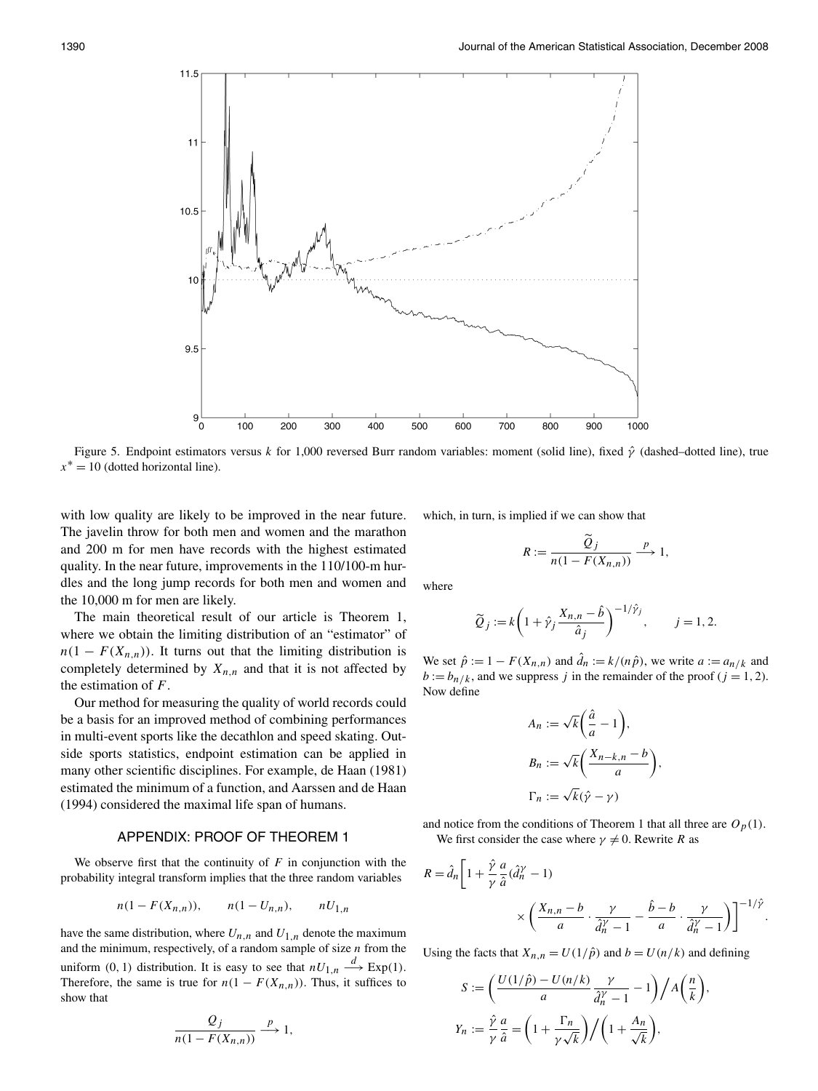

Figure 5. Endpoint estimators versus *k* for 1,000 reversed Burr random variables: moment (solid line), fixed *γ*ˆ (dashed–dotted line), true  $x^* = 10$  (dotted horizontal line).

with low quality are likely to be improved in the near future. The javelin throw for both men and women and the marathon and 200 m for men have records with the highest estimated quality. In the near future, improvements in the 110/100-m hurdles and the long jump records for both men and women and the 10,000 m for men are likely.

The main theoretical result of our article is Theorem 1, where we obtain the limiting distribution of an "estimator" of  $n(1 - F(X_{n,n}))$ . It turns out that the limiting distribution is completely determined by  $X_{n,n}$  and that it is not affected by the estimation of *F*.

Our method for measuring the quality of world records could be a basis for an improved method of combining performances in multi-event sports like the decathlon and speed skating. Outside sports statistics, endpoint estimation can be applied in many other scientific disciplines. For example, de Haan (1981) estimated the minimum of a function, and Aarssen and de Haan (1994) considered the maximal life span of humans.

## APPENDIX: PROOF OF THEOREM 1

We observe first that the continuity of  $F$  in conjunction with the probability integral transform implies that the three random variables

$$
n(1 - F(X_{n,n})), \qquad n(1 - U_{n,n}), \qquad nU_{1,n}
$$

have the same distribution, where  $U_{n,n}$  and  $U_{1,n}$  denote the maximum and the minimum, respectively, of a random sample of size *n* from the uniform (0, 1) distribution. It is easy to see that  $nU_{1,n} \stackrel{d}{\longrightarrow} \text{Exp}(1)$ . Therefore, the same is true for  $n(1 - F(X_{n,n}))$ . Thus, it suffices to show that

$$
\frac{Q_j}{n(1 - F(X_{n,n}))} \xrightarrow{p} 1,
$$

which, in turn, is implied if we can show that

$$
R := \frac{\tilde{Q}_j}{n(1 - F(X_{n,n}))} \xrightarrow{p} 1,
$$

where

$$
\widetilde{Q}_j := k \left( 1 + \hat{\gamma}_j \frac{X_{n,n} - \hat{b}}{\hat{a}_j} \right)^{-1/\hat{\gamma}_j}, \qquad j = 1, 2.
$$

We set  $\hat{p} := 1 - F(X_{n,n})$  and  $\hat{d}_n := k/(n\hat{p})$ , we write  $a := a_{n/k}$  and  $b := b_{n/k}$ , and we suppress *j* in the remainder of the proof (*j* = 1, 2). Now define

$$
A_n := \sqrt{k} \left( \frac{\hat{a}}{a} - 1 \right),
$$
  
\n
$$
B_n := \sqrt{k} \left( \frac{X_{n-k,n} - b}{a} \right)
$$
  
\n
$$
\Gamma_n := \sqrt{k} (\hat{\gamma} - \gamma)
$$

*,*

*,*

and notice from the conditions of Theorem 1 that all three are  $O_p(1)$ . We first consider the case where  $\gamma \neq 0$ . Rewrite *R* as

$$
R = \hat{d}_n \left[ 1 + \frac{\hat{\gamma}}{\gamma} \frac{a}{\hat{a}} (\hat{d}_n^{\gamma} - 1) \times \left( \frac{X_{n,n} - b}{a} \cdot \frac{\gamma}{\hat{d}_n^{\gamma} - 1} - \frac{\hat{b} - b}{a} \cdot \frac{\gamma}{\hat{d}_n^{\gamma} - 1} \right) \right]^{-1/\hat{\gamma}}.
$$

Using the facts that  $X_{n,n} = U(1/\hat{p})$  and  $b = U(n/k)$  and defining

$$
S := \left(\frac{U(1/\hat{p}) - U(n/k)}{a} \frac{\gamma}{\hat{d}_n^{\gamma} - 1} - 1\right) / A\left(\frac{n}{k}\right)
$$

$$
Y_n := \frac{\hat{\gamma}}{\gamma} \frac{a}{\hat{a}} = \left(1 + \frac{\Gamma_n}{\gamma \sqrt{k}}\right) / \left(1 + \frac{A_n}{\sqrt{k}}\right),
$$